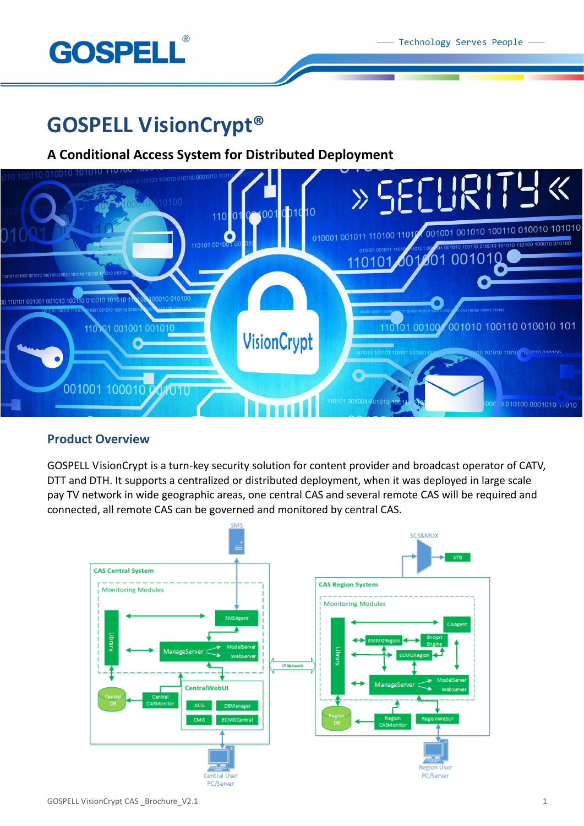

# **GOSPELL VisionCrypt®**

# **A Conditional Access System for Distributed Deployment**



# **Product Overview**

GOSPELL VisionCrypt is a turn-key security solution for content provider and broadcast operator of CATV, DTT and DTH. It supports a centralized or distributed deployment, when it was deployed in large scale pay TV network in wide geographic areas, one central CAS and several remote CAS will be required and connected, all remote CAS can be governed and monitored by central CAS.

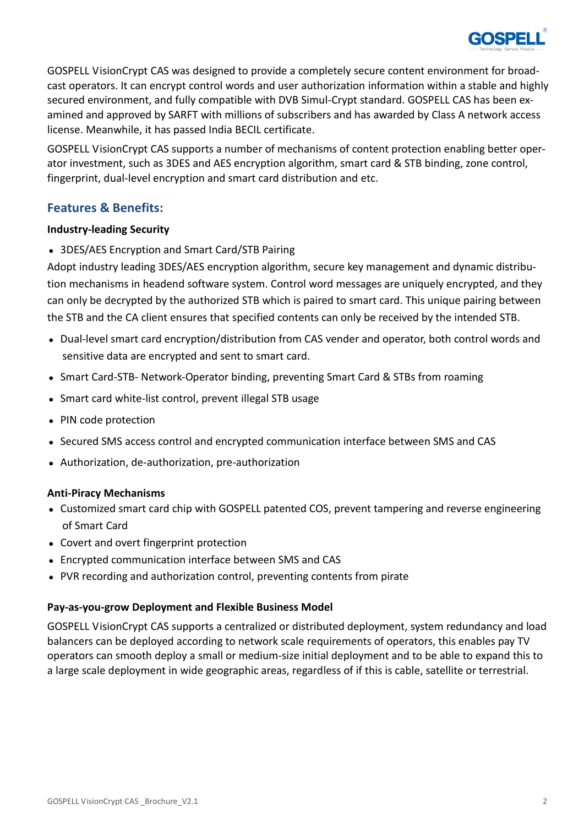

GOSPELL VisionCrypt CAS was designed to provide a completely secure content environment for broadcast operators. It can encrypt control words and user authorization information within a stable and highly secured environment, and fully compatible with DVB Simul-Crypt standard. GOSPELL CAS has been examined and approved by SARFT with millions of subscribers and has awarded by Class A network access license. Meanwhile, it has passed India BECIL certificate.

GOSPELL VisionCrypt CAS supports a number of mechanisms of content protection enabling better operator investment, such as 3DES and AES encryption algorithm, smart card & STB binding, zone control, fingerprint, dual-level encryption and smart card distribution and etc.

# **Features & Benefits:**

# **Industry-leading Security**

• 3DES/AES Encryption and Smart Card/STB Pairing

Adopt industry leading 3DES/AES encryption algorithm, secure key management and dynamic distribution mechanisms in headend software system. Control word messages are uniquely encrypted, and they can only be decrypted by the authorized STB which is paired to smart card. This unique pairing between the STB and the CA client ensures that specified contents can only be received by the intended STB.

- Dual-level smart card encryption/distribution from CAS vender and operator, both control words and sensitive data are encrypted and sent to smart card.
- Smart Card-STB- Network-Operator binding, preventing Smart Card & STBs from roaming
- Smart card white-list control, prevent illegal STB usage
- PIN code protection
- Secured SMS access control and encrypted communication interface between SMS and CAS
- Authorization, de-authorization, pre-authorization

# **Anti-Piracy Mechanisms**

- Customized smart card chip with GOSPELL patented COS, prevent tampering and reverse engineering of Smart Card
- Covert and overt fingerprint protection
- Encrypted communication interface between SMS and CAS
- PVR recording and authorization control, preventing contents from pirate

# **Pay-as-you-grow Deployment and Flexible Business Model**

GOSPELL VisionCrypt CAS supports a centralized or distributed deployment, system redundancy and load balancers can be deployed according to network scale requirements of operators, this enables pay TV operators can smooth deploy a small or medium-size initial deployment and to be able to expand this to a large scale deployment in wide geographic areas, regardless of if this is cable, satellite or terrestrial.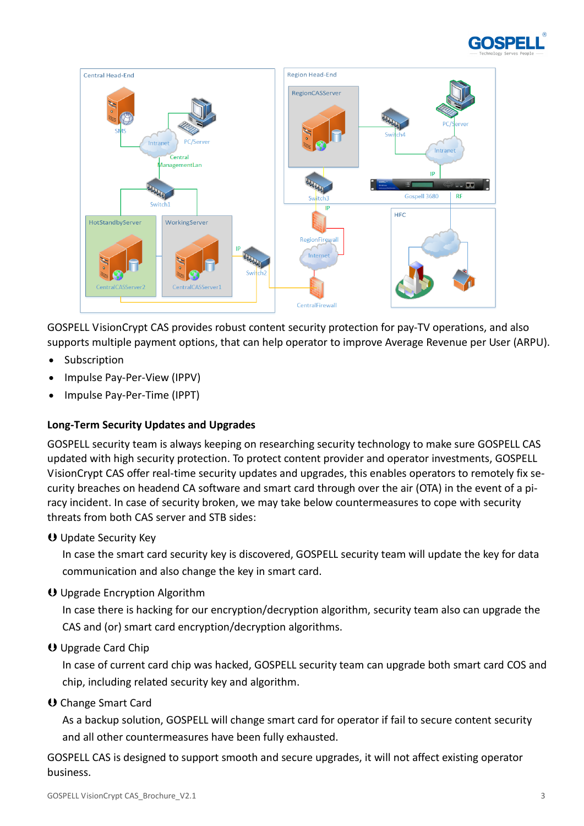



GOSPELL VisionCrypt CAS provides robust content security protection for pay-TV operations, and also supports multiple payment options, that can help operator to improve Average Revenue per User (ARPU).

- Subscription
- Impulse Pay-Per-View (IPPV)
- Impulse Pay-Per-Time (IPPT)

# **Long-Term Security Updates and Upgrades**

GOSPELL security team is always keeping on researching security technology to make sure GOSPELL CAS updated with high security protection. To protect content provider and operator investments, GOSPELL VisionCrypt CAS offer real-time security updates and upgrades, this enables operators to remotely fix security breaches on headend CA software and smart card through over the air (OTA) in the event of a piracy incident. In case of security broken, we may take below countermeasures to cope with security threats from both CAS server and STB sides:

Update Security Key

In case the smart card security key is discovered, GOSPELL security team will update the key for data communication and also change the key in smart card.

Upgrade Encryption Algorithm

In case there is hacking for our encryption/decryption algorithm, security team also can upgrade the CAS and (or) smart card encryption/decryption algorithms.

# Upgrade Card Chip

In case of current card chip was hacked, GOSPELL security team can upgrade both smart card COS and chip, including related security key and algorithm.

O Change Smart Card

As a backup solution, GOSPELL will change smart card for operator if fail to secure content security and all other countermeasures have been fully exhausted.

GOSPELL CAS is designed to support smooth and secure upgrades, it will not affect existing operator business.